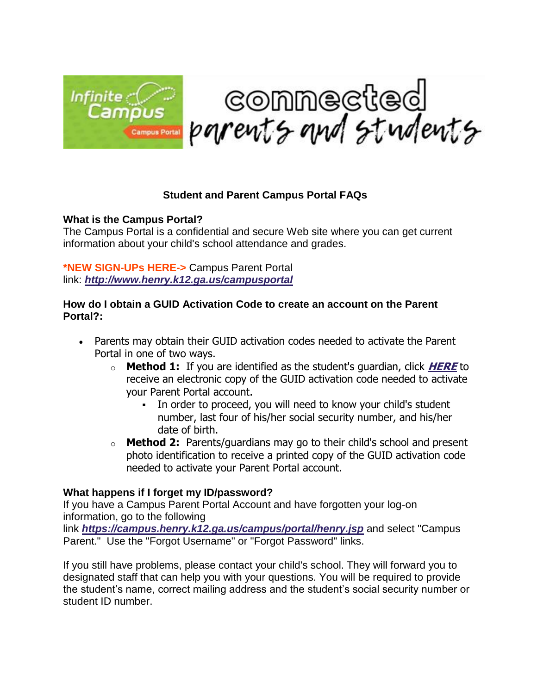

## **Student and Parent Campus Portal FAQs**

## **What is the Campus Portal?**

The Campus Portal is a confidential and secure Web site where you can get current information about your child's school attendance and grades.

**\*NEW SIGN-UPs HERE->** Campus Parent Portal link: *[http://www.henry.k12.ga.us/campusportal](https://campus.henry.k12.ga.us/campus/K12_Custom/cParent/index.jsp?appName=henry)*

## **How do I obtain a GUID Activation Code to create an account on the Parent Portal?:**

- Parents may obtain their GUID activation codes needed to activate the Parent Portal in one of two ways.
	- o **Method 1:** If you are identified as the student's guardian, click **[HERE](https://campus.henry.k12.ga.us/campus/K12_Custom/cParent/index.jsp?appName=henry)** to receive an electronic copy of the GUID activation code needed to activate your Parent Portal account.
		- In order to proceed, you will need to know your child's student number, last four of his/her social security number, and his/her date of birth.
	- o **Method 2:** Parents/guardians may go to their child's school and present photo identification to receive a printed copy of the GUID activation code needed to activate your Parent Portal account.

## **What happens if I forget my ID/password?**

If you have a Campus Parent Portal Account and have forgotten your log-on information, go to the following link *<https://campus.henry.k12.ga.us/campus/portal/henry.jsp>* and select "Campus Parent." Use the "Forgot Username" or "Forgot Password" links.

If you still have problems, please contact your child's school. They will forward you to designated staff that can help you with your questions. You will be required to provide the student's name, correct mailing address and the student's social security number or student ID number.